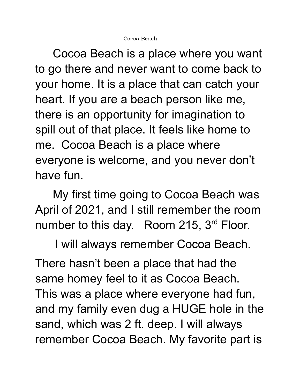Cocoa Beach is a place where you want to go there and never want to come back to your home. It is a place that can catch your heart. If you are a beach person like me, there is an opportunity for imagination to spill out of that place. It feels like home to me. Cocoa Beach is a place where everyone is welcome, and you never don't have fun.

My first time going to Cocoa Beach was April of 2021, and I still remember the room number to this day. Room 215, 3<sup>rd</sup> Floor.

I will always remember Cocoa Beach.

There hasn't been a place that had the same homey feel to it as Cocoa Beach. This was a place where everyone had fun, and my family even dug a HUGE hole in the sand, which was 2 ft. deep. I will always remember Cocoa Beach. My favorite part is